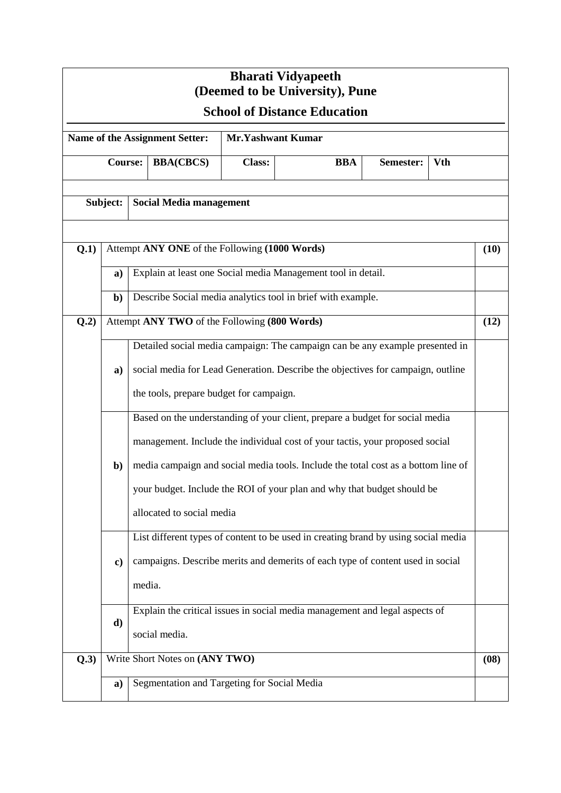| <b>Bharati Vidyapeeth</b><br>(Deemed to be University), Pune<br><b>School of Distance Education</b> |                                              |                                                                                                                                                                                                            |                                               |                                                             |                                                                                                                                                                                                                                                                                                                              |           |            |      |  |  |
|-----------------------------------------------------------------------------------------------------|----------------------------------------------|------------------------------------------------------------------------------------------------------------------------------------------------------------------------------------------------------------|-----------------------------------------------|-------------------------------------------------------------|------------------------------------------------------------------------------------------------------------------------------------------------------------------------------------------------------------------------------------------------------------------------------------------------------------------------------|-----------|------------|------|--|--|
| <b>Mr.Yashwant Kumar</b><br><b>Name of the Assignment Setter:</b>                                   |                                              |                                                                                                                                                                                                            |                                               |                                                             |                                                                                                                                                                                                                                                                                                                              |           |            |      |  |  |
|                                                                                                     | <b>Course:</b>                               |                                                                                                                                                                                                            | <b>BBA(CBCS)</b>                              | <b>Class:</b>                                               | <b>BBA</b>                                                                                                                                                                                                                                                                                                                   | Semester: | <b>Vth</b> |      |  |  |
| Subject:                                                                                            |                                              | <b>Social Media management</b>                                                                                                                                                                             |                                               |                                                             |                                                                                                                                                                                                                                                                                                                              |           |            |      |  |  |
| Q.1)                                                                                                |                                              |                                                                                                                                                                                                            | Attempt ANY ONE of the Following (1000 Words) |                                                             |                                                                                                                                                                                                                                                                                                                              |           |            | (10) |  |  |
|                                                                                                     | a)                                           | Explain at least one Social media Management tool in detail.                                                                                                                                               |                                               |                                                             |                                                                                                                                                                                                                                                                                                                              |           |            |      |  |  |
|                                                                                                     | $\mathbf{b}$                                 |                                                                                                                                                                                                            |                                               | Describe Social media analytics tool in brief with example. |                                                                                                                                                                                                                                                                                                                              |           |            |      |  |  |
| Q.2)                                                                                                | Attempt ANY TWO of the Following (800 Words) |                                                                                                                                                                                                            |                                               |                                                             |                                                                                                                                                                                                                                                                                                                              |           |            | (12) |  |  |
|                                                                                                     | a)                                           | Detailed social media campaign: The campaign can be any example presented in<br>social media for Lead Generation. Describe the objectives for campaign, outline<br>the tools, prepare budget for campaign. |                                               |                                                             |                                                                                                                                                                                                                                                                                                                              |           |            |      |  |  |
|                                                                                                     | $\mathbf{b}$                                 |                                                                                                                                                                                                            | allocated to social media                     |                                                             | Based on the understanding of your client, prepare a budget for social media<br>management. Include the individual cost of your tactis, your proposed social<br>media campaign and social media tools. Include the total cost as a bottom line of<br>your budget. Include the ROI of your plan and why that budget should be |           |            |      |  |  |
|                                                                                                     | $\mathbf{c})$                                | List different types of content to be used in creating brand by using social media<br>campaigns. Describe merits and demerits of each type of content used in social<br>media.                             |                                               |                                                             |                                                                                                                                                                                                                                                                                                                              |           |            |      |  |  |
|                                                                                                     | d)                                           | Explain the critical issues in social media management and legal aspects of<br>social media.                                                                                                               |                                               |                                                             |                                                                                                                                                                                                                                                                                                                              |           |            |      |  |  |
| Q.3)                                                                                                | Write Short Notes on (ANY TWO)               |                                                                                                                                                                                                            |                                               |                                                             |                                                                                                                                                                                                                                                                                                                              |           |            | (08) |  |  |
|                                                                                                     | a)                                           | Segmentation and Targeting for Social Media                                                                                                                                                                |                                               |                                                             |                                                                                                                                                                                                                                                                                                                              |           |            |      |  |  |